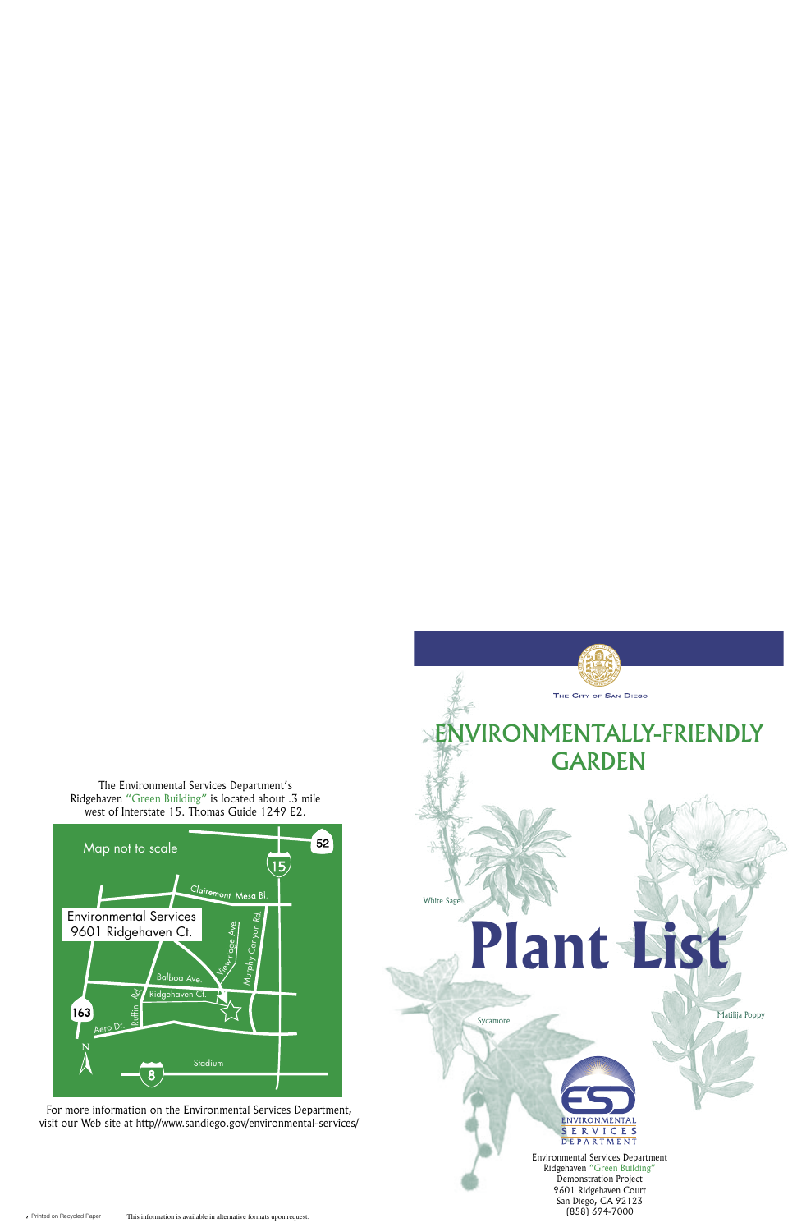

For more information on the Environmental Services Department, visit our Web site at http//www.sandiego.gov/environmental-services/

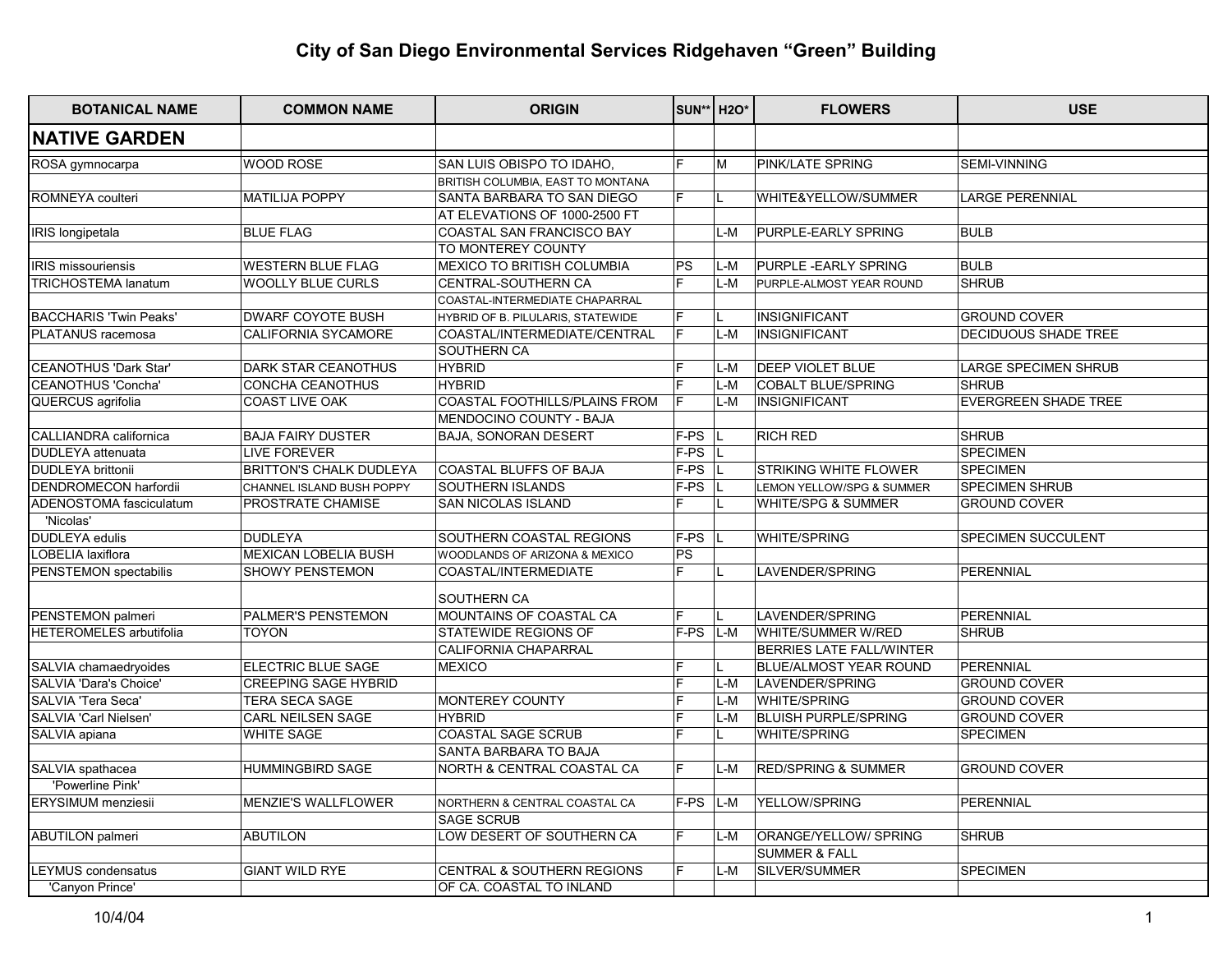# **City of San Diego Environmental Services Ridgehaven "Green" Building City of San Diego Environmental Ridgehaven "Green" Building**

| <b>BOTANICAL NAME</b>          | <b>COMMON NAME</b>             | <b>ORIGIN</b>                     |                | <b>SUN**</b> H2O*       | <b>FLOWERS</b>                 | <b>USE</b>                  |
|--------------------------------|--------------------------------|-----------------------------------|----------------|-------------------------|--------------------------------|-----------------------------|
| <b>NATIVE GARDEN</b>           |                                |                                   |                |                         |                                |                             |
| ROSA gymnocarpa                | WOOD ROSE                      | SAN LUIS OBISPO TO IDAHO,         | F              | $\overline{\mathsf{M}}$ | PINK/LATE SPRING               | SEMI-VINNING                |
|                                |                                | BRITISH COLUMBIA, EAST TO MONTANA |                |                         |                                |                             |
| ROMNEYA coulteri               | <b>MATILIJA POPPY</b>          | SANTA BARBARA TO SAN DIEGO        | F              |                         | WHITE&YELLOW/SUMMER            | <b>LARGE PERENNIAL</b>      |
|                                |                                | AT ELEVATIONS OF 1000-2500 FT     |                |                         |                                |                             |
| IRIS longipetala               | <b>BLUE FLAG</b>               | COASTAL SAN FRANCISCO BAY         |                | L-M                     | PURPLE-EARLY SPRING            | <b>BULB</b>                 |
|                                |                                | TO MONTEREY COUNTY                |                |                         |                                |                             |
| <b>IRIS</b> missouriensis      | <b>WESTERN BLUE FLAG</b>       | MEXICO TO BRITISH COLUMBIA        | PS             | L-M                     | PURPLE - EARLY SPRING          | <b>BULB</b>                 |
| <b>TRICHOSTEMA lanatum</b>     | <b>WOOLLY BLUE CURLS</b>       | CENTRAL-SOUTHERN CA               | E              | L-M                     | PURPLE-ALMOST YEAR ROUND       | <b>SHRUB</b>                |
|                                |                                | COASTAL-INTERMEDIATE CHAPARRAL    |                |                         |                                |                             |
| <b>BACCHARIS 'Twin Peaks'</b>  | <b>DWARF COYOTE BUSH</b>       | HYBRID OF B. PILULARIS, STATEWIDE | $\overline{F}$ | L                       | INSIGNIFICANT                  | <b>GROUND COVER</b>         |
| PLATANUS racemosa              | CALIFORNIA SYCAMORE            | COASTAL/INTERMEDIATE/CENTRAL      | F              | L-M                     | INSIGNIFICANT                  | DECIDUOUS SHADE TREE        |
|                                |                                | SOUTHERN CA                       |                |                         |                                |                             |
| CEANOTHUS 'Dark Star'          | <b>DARK STAR CEANOTHUS</b>     | <b>HYBRID</b>                     | E              | L-M                     | DEEP VIOLET BLUE               | <b>LARGE SPECIMEN SHRUB</b> |
| CEANOTHUS 'Concha'             | CONCHA CEANOTHUS               | <b>HYBRID</b>                     | E              | L-M                     | COBALT BLUE/SPRING             | <b>SHRUB</b>                |
| QUERCUS agrifolia              | COAST LIVE OAK                 | COASTAL FOOTHILLS/PLAINS FROM     | F              | L-M                     | INSIGNIFICANT                  | <b>EVERGREEN SHADE TREE</b> |
|                                |                                | MENDOCINO COUNTY - BAJA           |                |                         |                                |                             |
| CALLIANDRA californica         | <b>BAJA FAIRY DUSTER</b>       | <b>BAJA, SONORAN DESERT</b>       | F-PS           |                         | RICH RED                       | <b>SHRUB</b>                |
| DUDLEYA attenuata              | <b>LIVE FOREVER</b>            |                                   | $F-PS$         |                         |                                | <b>SPECIMEN</b>             |
| <b>DUDLEYA brittonii</b>       | <b>BRITTON'S CHALK DUDLEYA</b> | COASTAL BLUFFS OF BAJA            | F-PS           |                         | STRIKING WHITE FLOWER          | <b>SPECIMEN</b>             |
| <b>DENDROMECON harfordii</b>   | CHANNEL ISLAND BUSH POPPY      | SOUTHERN ISLANDS                  | $F-PS$         |                         | LEMON YELLOW/SPG & SUMMER      | <b>SPECIMEN SHRUB</b>       |
| ADENOSTOMA fasciculatum        | PROSTRATE CHAMISE              | <b>SAN NICOLAS ISLAND</b>         | F              |                         | WHITE/SPG & SUMMER             | <b>GROUND COVER</b>         |
| 'Nicolas'                      |                                |                                   |                |                         |                                |                             |
| <b>DUDLEYA</b> edulis          | DUDLEYA                        | SOUTHERN COASTAL REGIONS          | F-PS           |                         | WHITE/SPRING                   | SPECIMEN SUCCULENT          |
| <b>OBELIA laxiflora</b>        | <b>MEXICAN LOBELIA BUSH</b>    | WOODLANDS OF ARIZONA & MEXICO     | <b>PS</b>      |                         |                                |                             |
| PENSTEMON spectabilis          | SHOWY PENSTEMON                | COASTAL/INTERMEDIATE              | F.             |                         | LAVENDER/SPRING                | PERENNIAL                   |
|                                |                                | SOUTHERN CA                       |                |                         |                                |                             |
| PENSTEMON palmeri              | <b>PALMER'S PENSTEMON</b>      | MOUNTAINS OF COASTAL CA           | F              |                         | LAVENDER/SPRING                | PERENNIAL                   |
| <b>HETEROMELES</b> arbutifolia | <b>TOYON</b>                   | STATEWIDE REGIONS OF              | F-PS           | L-M                     | WHITE/SUMMER W/RED             | <b>SHRUB</b>                |
|                                |                                | CALIFORNIA CHAPARRAL              |                |                         | BERRIES LATE FALL/WINTER       |                             |
| SALVIA chamaedryoides          | <b>ELECTRIC BLUE SAGE</b>      | <b>MEXICO</b>                     |                |                         | BLUE/ALMOST YEAR ROUND         | PERENNIAL                   |
| SALVIA 'Dara's Choice'         | <b>CREEPING SAGE HYBRID</b>    |                                   | F              | L-M                     | LAVENDER/SPRING                | <b>GROUND COVER</b>         |
| SALVIA 'Tera Seca'             | <b>TERA SECA SAGE</b>          | MONTEREY COUNTY                   | E              | L-M                     | <b>WHITE/SPRING</b>            | <b>GROUND COVER</b>         |
| SALVIA 'Carl Nielsen'          | CARL NEILSEN SAGE              | <b>HYBRID</b>                     | F              | L-M                     | <b>BLUISH PURPLE/SPRING</b>    | <b>GROUND COVER</b>         |
| SALVIA apiana                  | WHITE SAGE                     | COASTAL SAGE SCRUB                | F              |                         | WHITE/SPRING                   | <b>SPECIMEN</b>             |
|                                |                                | SANTA BARBARA TO BAJA             |                |                         |                                |                             |
| SALVIA spathacea               | <b>HUMMINGBIRD SAGE</b>        | NORTH & CENTRAL COASTAL CA        | F              | $L-M$                   | <b>RED/SPRING &amp; SUMMER</b> | <b>GROUND COVER</b>         |
| 'Powerline Pink'               |                                |                                   |                |                         |                                |                             |
| <b>ERYSIMUM</b> menziesii      | <b>MENZIE'S WALLFLOWER</b>     | NORTHERN & CENTRAL COASTAL CA     | F-PS           | L-M                     | YELLOW/SPRING                  | PERENNIAL                   |
|                                |                                | <b>SAGE SCRUB</b>                 |                |                         |                                |                             |
| <b>ABUTILON</b> palmeri        | ABUTILON                       | LOW DESERT OF SOUTHERN CA         | F              | L-M                     | ORANGE/YELLOW/ SPRING          | <b>SHRUB</b>                |
|                                |                                |                                   |                |                         | <b>SUMMER &amp; FALL</b>       |                             |
| <b>EYMUS condensatus</b>       | <b>GIANT WILD RYE</b>          | CENTRAL & SOUTHERN REGIONS        | E              | L-M                     | SILVER/SUMMER                  | <b>SPECIMEN</b>             |
| 'Canyon Prince'                |                                | OF CA. COASTAL TO INLAND          |                |                         |                                |                             |
|                                |                                |                                   |                |                         |                                |                             |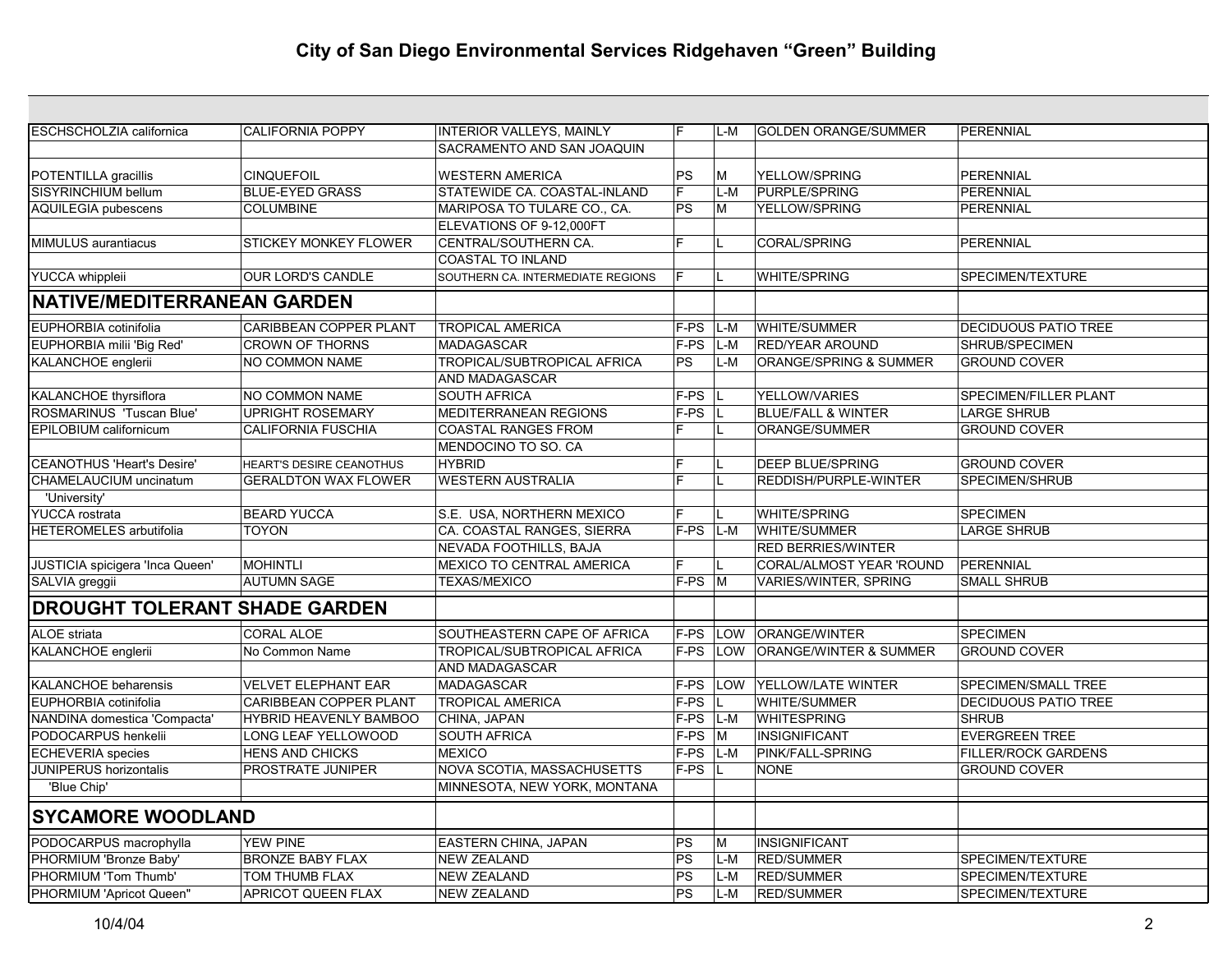| ESCHSCHOLZIA californica           | <b>CALIFORNIA POPPY</b>       | INTERIOR VALLEYS, MAINLY                  | F                      | L-M          | <b>GOLDEN ORANGE/SUMMER</b>       | PERENNIAL                    |
|------------------------------------|-------------------------------|-------------------------------------------|------------------------|--------------|-----------------------------------|------------------------------|
|                                    |                               | SACRAMENTO AND SAN JOAQUIN                |                        |              |                                   |                              |
| POTENTILLA gracillis               | <b>CINQUEFOIL</b>             | <b>WESTERN AMERICA</b>                    | PS                     | lM.          | YELLOW/SPRING                     | PERENNIAL                    |
| SISYRINCHIUM bellum                | <b>BLUE-EYED GRASS</b>        | STATEWIDE CA. COASTAL-INLAND              | $\overline{F}$         | L-M          | PURPLE/SPRING                     | PERENNIAL                    |
| <b>AQUILEGIA pubescens</b>         | <b>COLUMBINE</b>              | MARIPOSA TO TULARE CO., CA.               | $\overline{\text{PS}}$ | ١M           | YELLOW/SPRING                     | PERENNIAL                    |
|                                    |                               | ELEVATIONS OF 9-12,000FT                  |                        |              |                                   |                              |
|                                    |                               |                                           | F                      |              |                                   |                              |
| MIMULUS aurantiacus                | STICKEY MONKEY FLOWER         | CENTRAL/SOUTHERN CA.<br>COASTAL TO INLAND |                        | L            | <b>CORAL/SPRING</b>               | PERENNIAL                    |
| <b>YUCCA</b> whippleii             | OUR LORD'S CANDLE             | SOUTHERN CA. INTERMEDIATE REGIONS         | F                      |              | WHITE/SPRING                      | SPECIMEN/TEXTURE             |
|                                    |                               |                                           |                        |              |                                   |                              |
| <b>NATIVE/MEDITERRANEAN GARDEN</b> |                               |                                           |                        |              |                                   |                              |
| EUPHORBIA cotinifolia              | <b>CARIBBEAN COPPER PLANT</b> | <b>TROPICAL AMERICA</b>                   | F-PS                   | L-M          | <b>WHITE/SUMMER</b>               | <b>DECIDUOUS PATIO TREE</b>  |
| EUPHORBIA milii 'Big Red'          | <b>CROWN OF THORNS</b>        | MADAGASCAR                                | F-PS                   | L-M          | RED/YEAR AROUND                   | SHRUB/SPECIMEN               |
| KALANCHOE englerii                 | NO COMMON NAME                | TROPICAL/SUBTROPICAL AFRICA               | PS                     | $L-M$        | ORANGE/SPRING & SUMMER            | <b>GROUND COVER</b>          |
|                                    |                               | AND MADAGASCAR                            |                        |              |                                   |                              |
| KALANCHOE thyrsiflora              | <b>NO COMMON NAME</b>         | <b>SOUTH AFRICA</b>                       | F-PS                   |              | YELLOW/VARIES                     | <b>SPECIMEN/FILLER PLANT</b> |
| ROSMARINUS 'Tuscan Blue'           | <b>UPRIGHT ROSEMARY</b>       | MEDITERRANEAN REGIONS                     | $F-PS$                 | IL.          | <b>BLUE/FALL &amp; WINTER</b>     | <b>LARGE SHRUB</b>           |
| EPILOBIUM californicum             | <b>CALIFORNIA FUSCHIA</b>     | <b>COASTAL RANGES FROM</b>                | E                      | IL.          | ORANGE/SUMMER                     | <b>GROUND COVER</b>          |
|                                    |                               | MENDOCINO TO SO. CA                       |                        |              |                                   |                              |
| <b>CEANOTHUS 'Heart's Desire'</b>  | HEART'S DESIRE CEANOTHUS      | <b>HYBRID</b>                             | F                      | L.           | <b>DEEP BLUE/SPRING</b>           | <b>GROUND COVER</b>          |
| CHAMELAUCIUM uncinatum             | <b>GERALDTON WAX FLOWER</b>   | <b>WESTERN AUSTRALIA</b>                  | E                      | IL.          | REDDISH/PURPLE-WINTER             | SPECIMEN/SHRUB               |
| 'University'                       |                               |                                           |                        |              |                                   |                              |
| <b>YUCCA</b> rostrata              | <b>BEARD YUCCA</b>            | S.E. USA, NORTHERN MEXICO                 | E                      | L            | <b>WHITE/SPRING</b>               | <b>SPECIMEN</b>              |
| HETEROMELES arbutifolia            | TOYON                         | CA. COASTAL RANGES, SIERRA                | $F-PS$                 | L-M          | WHITE/SUMMER                      | <b>LARGE SHRUB</b>           |
|                                    |                               | NEVADA FOOTHILLS, BAJA                    |                        |              | <b>RED BERRIES/WINTER</b>         |                              |
| JUSTICIA spicigera 'Inca Queen'    | <b>MOHINTLI</b>               | <b>MEXICO TO CENTRAL AMERICA</b>          |                        |              | CORAL/ALMOST YEAR 'ROUND          | PERENNIAL                    |
| SALVIA greggii                     | <b>AUTUMN SAGE</b>            | <b>TEXAS/MEXICO</b>                       | F-PS                   | $\mathsf{M}$ | VARIES/WINTER, SPRING             | <b>SMALL SHRUB</b>           |
| DROUGHT TOLERANT SHADE GARDEN      |                               |                                           |                        |              |                                   |                              |
|                                    |                               |                                           |                        |              |                                   |                              |
| ALOE striata                       | <b>CORAL ALOE</b>             | SOUTHEASTERN CAPE OF AFRICA               | F-PS                   | LOW          | ORANGE/WINTER                     | <b>SPECIMEN</b>              |
| KALANCHOE englerii                 | No Common Name                | TROPICAL/SUBTROPICAL AFRICA               | F-PS                   | LOW          | <b>ORANGE/WINTER &amp; SUMMER</b> | <b>GROUND COVER</b>          |
|                                    |                               | AND MADAGASCAR                            |                        |              |                                   |                              |
| <b>KALANCHOE beharensis</b>        | <b>VELVET ELEPHANT EAR</b>    | <b>MADAGASCAR</b>                         | $F-PS$                 | LOW          | YELLOW/LATE WINTER                | SPECIMEN/SMALL TREE          |
| EUPHORBIA cotinifolia              | <b>CARIBBEAN COPPER PLANT</b> | <b>TROPICAL AMERICA</b>                   | F-PS                   | L.           | <b>WHITE/SUMMER</b>               | <b>DECIDUOUS PATIO TREE</b>  |
| NANDINA domestica 'Compacta'       | HYBRID HEAVENLY BAMBOO        | CHINA, JAPAN                              | $F-PS$                 | L-M          | <b>WHITESPRING</b>                | <b>SHRUB</b>                 |
| PODOCARPUS henkelii                | LONG LEAF YELLOWOOD           | SOUTH AFRICA                              | $F-PS$                 | M            | <b>INSIGNIFICANT</b>              | <b>EVERGREEN TREE</b>        |
| <b>ECHEVERIA</b> species           | <b>HENS AND CHICKS</b>        | <b>MEXICO</b>                             | F-PS                   | L-M          | PINK/FALL-SPRING                  | <b>FILLER/ROCK GARDENS</b>   |
| JUNIPERUS horizontalis             | PROSTRATE JUNIPER             | NOVA SCOTIA, MASSACHUSETTS                | F-PS                   |              | <b>NONE</b>                       | <b>GROUND COVER</b>          |
| 'Blue Chip'                        |                               | MINNESOTA, NEW YORK, MONTANA              |                        |              |                                   |                              |
| <b>SYCAMORE WOODLAND</b>           |                               |                                           |                        |              |                                   |                              |
| PODOCARPUS macrophylla             | <b>YEW PINE</b>               | EASTERN CHINA, JAPAN                      | PS                     | lм           | INSIGNIFICANT                     |                              |
| PHORMIUM 'Bronze Baby'             | <b>BRONZE BABY FLAX</b>       | <b>NEW ZEALAND</b>                        | PS                     | L-M          | <b>RED/SUMMER</b>                 | SPECIMEN/TEXTURE             |
| PHORMIUM 'Tom Thumb'               | TOM THUMB FLAX                | <b>NEW ZEALAND</b>                        | PS                     | L-M          | <b>RED/SUMMER</b>                 | SPECIMEN/TEXTURE             |
| PHORMIUM 'Apricot Queen"           | <b>APRICOT QUEEN FLAX</b>     | <b>NEW ZEALAND</b>                        | $\overline{\text{PS}}$ | L-M          | <b>RED/SUMMER</b>                 | SPECIMEN/TEXTURE             |
|                                    |                               |                                           |                        |              |                                   |                              |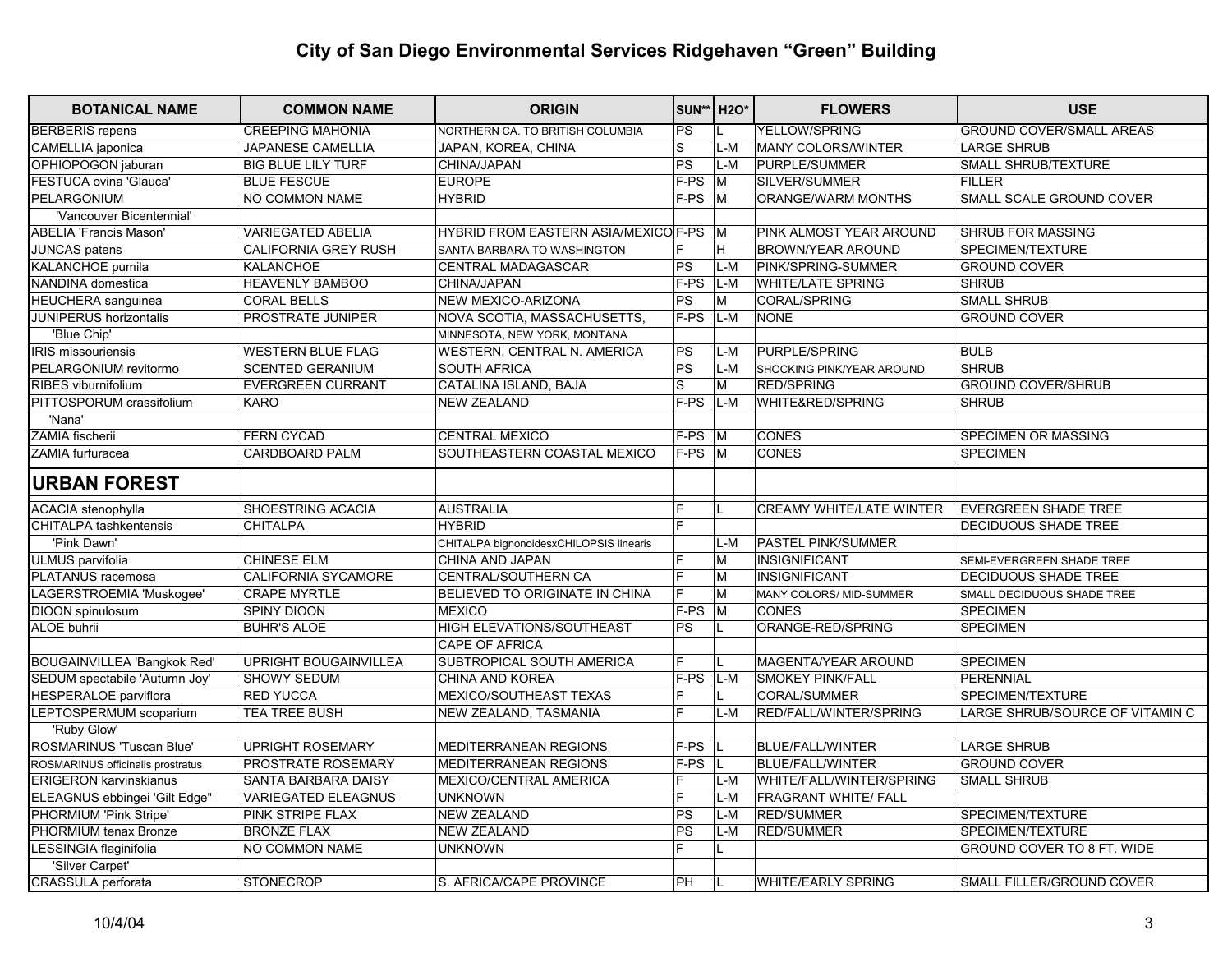| <b>BOTANICAL NAME</b>              | <b>COMMON NAME</b>           | <b>ORIGIN</b>                           | SUN** H2O*               |                         | <b>FLOWERS</b>                  | <b>USE</b>                      |
|------------------------------------|------------------------------|-----------------------------------------|--------------------------|-------------------------|---------------------------------|---------------------------------|
| <b>BERBERIS</b> repens             | <b>CREEPING MAHONIA</b>      | NORTHERN CA. TO BRITISH COLUMBIA        | $\overline{PS}$          |                         | <b>YELLOW/SPRING</b>            | <b>GROUND COVER/SMALL AREAS</b> |
| CAMELLIA japonica                  | <b>JAPANESE CAMELLIA</b>     | JAPAN, KOREA, CHINA                     | S                        | L-M                     | MANY COLORS/WINTER              | <b>LARGE SHRUB</b>              |
| OPHIOPOGON jaburan                 | <b>BIG BLUE LILY TURF</b>    | CHINA/JAPAN                             | $\overline{PS}$          | L-M                     | PURPLE/SUMMER                   | SMALL SHRUB/TEXTURE             |
| FESTUCA ovina 'Glauca'             | <b>BLUE FESCUE</b>           | <b>EUROPE</b>                           | $F-PS$                   | M                       | SILVER/SUMMER                   | <b>FILLER</b>                   |
| PELARGONIUM                        | NO COMMON NAME               | <b>HYBRID</b>                           | F-PS                     | $\overline{\mathsf{M}}$ | ORANGE/WARM MONTHS              | SMALL SCALE GROUND COVER        |
| 'Vancouver Bicentennial'           |                              |                                         |                          |                         |                                 |                                 |
| <b>ABELIA 'Francis Mason'</b>      | <b>VARIEGATED ABELIA</b>     | HYBRID FROM EASTERN ASIA/MEXICO F-PS    |                          | ١M                      | PINK ALMOST YEAR AROUND         | <b>SHRUB FOR MASSING</b>        |
| JUNCAS patens                      | CALIFORNIA GREY RUSH         | SANTA BARBARA TO WASHINGTON             | E                        | H                       | <b>BROWN/YEAR AROUND</b>        | SPECIMEN/TEXTURE                |
| KALANCHOE pumila                   | <b>KALANCHOE</b>             | <b>CENTRAL MADAGASCAR</b>               | $\overline{\text{PS}}$   | L-M                     | PINK/SPRING-SUMMER              | <b>GROUND COVER</b>             |
| NANDINA domestica                  | <b>HEAVENLY BAMBOO</b>       | CHINA/JAPAN                             | F-PS                     | L-M                     | <b>WHITE/LATE SPRING</b>        | <b>SHRUB</b>                    |
| <b>HEUCHERA</b> sanguinea          | <b>CORAL BELLS</b>           | NEW MEXICO-ARIZONA                      | PS                       | lM.                     | CORAL/SPRING                    | <b>SMALL SHRUB</b>              |
| <b>JUNIPERUS horizontalis</b>      | PROSTRATE JUNIPER            | NOVA SCOTIA, MASSACHUSETTS,             | F-PS                     | $L-M$                   | <b>NONE</b>                     | <b>GROUND COVER</b>             |
| 'Blue Chip'                        |                              | MINNESOTA, NEW YORK, MONTANA            |                          |                         |                                 |                                 |
| <b>IRIS missouriensis</b>          | WESTERN BLUE FLAG            | WESTERN, CENTRAL N. AMERICA             | PS                       | L-M                     | PURPLE/SPRING                   | <b>BULB</b>                     |
| PELARGONIUM revitormo              | <b>SCENTED GERANIUM</b>      | <b>SOUTH AFRICA</b>                     | $\overline{\mathsf{PS}}$ | L-M                     | SHOCKING PINK/YEAR AROUND       | <b>SHRUB</b>                    |
| RIBES viburnifolium                | <b>EVERGREEN CURRANT</b>     | CATALINA ISLAND, BAJA                   | <sub>S</sub>             | M                       | <b>RED/SPRING</b>               | <b>GROUND COVER/SHRUB</b>       |
| PITTOSPORUM crassifolium           | <b>KARO</b>                  | <b>NEW ZEALAND</b>                      | $F-PS$                   | L-M                     | WHITE&RED/SPRING                | <b>SHRUB</b>                    |
| 'Nana'                             |                              |                                         |                          |                         |                                 |                                 |
| ZAMIA fischerii                    | <b>FERN CYCAD</b>            | <b>CENTRAL MEXICO</b>                   | F-PS                     | $\mathsf{M}$            | <b>CONES</b>                    | SPECIMEN OR MASSING             |
| ZAMIA furfuracea                   | <b>CARDBOARD PALM</b>        | SOUTHEASTERN COASTAL MEXICO             | $F-PS$ M                 |                         | <b>CONES</b>                    | <b>SPECIMEN</b>                 |
| <b>URBAN FOREST</b>                |                              |                                         |                          |                         |                                 |                                 |
| <b>ACACIA</b> stenophylla          | SHOESTRING ACACIA            | <b>AUSTRALIA</b>                        | F                        |                         | <b>CREAMY WHITE/LATE WINTER</b> | <b>EVERGREEN SHADE TREE</b>     |
| <b>CHITALPA</b> tashkentensis      | <b>CHITALPA</b>              | <b>HYBRID</b>                           | E                        |                         |                                 | DECIDUOUS SHADE TREE            |
| 'Pink Dawn'                        |                              | CHITALPA bignonoidesxCHILOPSIS linearis |                          | $L-M$                   | <b>PASTEL PINK/SUMMER</b>       |                                 |
| ULMUS parvifolia                   | <b>CHINESE ELM</b>           | CHINA AND JAPAN                         | F                        | M                       | <b>INSIGNIFICANT</b>            | SEMI-EVERGREEN SHADE TREE       |
| PLATANUS racemosa                  | CALIFORNIA SYCAMORE          | CENTRAL/SOUTHERN CA                     | F                        | M                       | <b>INSIGNIFICANT</b>            | DECIDUOUS SHADE TREE            |
| LAGERSTROEMIA 'Muskogee'           | <b>CRAPE MYRTLE</b>          | <b>BELIEVED TO ORIGINATE IN CHINA</b>   | E                        | M                       | MANY COLORS/ MID-SUMMER         | SMALL DECIDUOUS SHADE TREE      |
| DIOON spinulosum                   | SPINY DIOON                  | <b>MEXICO</b>                           | F-PS                     | $\overline{\mathsf{M}}$ | CONES                           | <b>SPECIMEN</b>                 |
| <b>ALOE buhrii</b>                 | <b>BUHR'S ALOE</b>           | HIGH ELEVATIONS/SOUTHEAST               | PS                       |                         | ORANGE-RED/SPRING               | <b>SPECIMEN</b>                 |
|                                    |                              | <b>CAPE OF AFRICA</b>                   |                          |                         |                                 |                                 |
| <b>BOUGAINVILLEA 'Bangkok Red'</b> | <b>UPRIGHT BOUGAINVILLEA</b> | <b>SUBTROPICAL SOUTH AMERICA</b>        | F                        | L                       | <b>MAGENTA/YEAR AROUND</b>      | <b>SPECIMEN</b>                 |
| SEDUM spectabile 'Autumn Joy'      | <b>SHOWY SEDUM</b>           | <b>CHINA AND KOREA</b>                  | F-PS                     | L-M                     | <b>SMOKEY PINK/FALL</b>         | <b>PERENNIAL</b>                |
| <b>HESPERALOE</b> parviflora       | <b>RED YUCCA</b>             | MEXICO/SOUTHEAST TEXAS                  | F                        |                         | CORAL/SUMMER                    | SPECIMEN/TEXTURE                |
| LEPTOSPERMUM scoparium             | <b>TEA TREE BUSH</b>         | NEW ZEALAND, TASMANIA                   | E                        | L-M                     | RED/FALL/WINTER/SPRING          | LARGE SHRUB/SOURCE OF VITAMIN C |
| 'Ruby Glow'                        |                              |                                         |                          |                         |                                 |                                 |
| ROSMARINUS 'Tuscan Blue'           | <b>UPRIGHT ROSEMARY</b>      | MEDITERRANEAN REGIONS                   | F-PS                     | L                       | <b>BLUE/FALL/WINTER</b>         | <b>LARGE SHRUB</b>              |
| ROSMARINUS officinalis prostratus  | <b>PROSTRATE ROSEMARY</b>    | MEDITERRANEAN REGIONS                   | F-PS                     | L.                      | <b>BLUE/FALL/WINTER</b>         | <b>GROUND COVER</b>             |
| <b>ERIGERON karvinskianus</b>      | SANTA BARBARA DAISY          | MEXICO/CENTRAL AMERICA                  | F                        | L-M                     | WHITE/FALL/WINTER/SPRING        | <b>SMALL SHRUB</b>              |
| ELEAGNUS ebbingei 'Gilt Edge"      | <b>VARIEGATED ELEAGNUS</b>   | <b>UNKNOWN</b>                          | F                        | L-M                     | <b>FRAGRANT WHITE/ FALL</b>     |                                 |
| PHORMIUM 'Pink Stripe'             | PINK STRIPE FLAX             | <b>NEW ZEALAND</b>                      | $\overline{\mathsf{PS}}$ | L-M                     | <b>RED/SUMMER</b>               | SPECIMEN/TEXTURE                |
| PHORMIUM tenax Bronze              | <b>BRONZE FLAX</b>           | <b>NEW ZEALAND</b>                      | $\overline{PS}$          | $L-M$                   | <b>RED/SUMMER</b>               | SPECIMEN/TEXTURE                |
| LESSINGIA flaginifolia             | NO COMMON NAME               | <b>UNKNOWN</b>                          | $\overline{F}$           | L                       |                                 | GROUND COVER TO 8 FT. WIDE      |
| 'Silver Carpet'                    |                              |                                         |                          |                         |                                 |                                 |
| CRASSULA perforata                 | <b>STONECROP</b>             | S. AFRICA/CAPE PROVINCE                 | PH                       |                         | <b>WHITE/EARLY SPRING</b>       | SMALL FILLER/GROUND COVER       |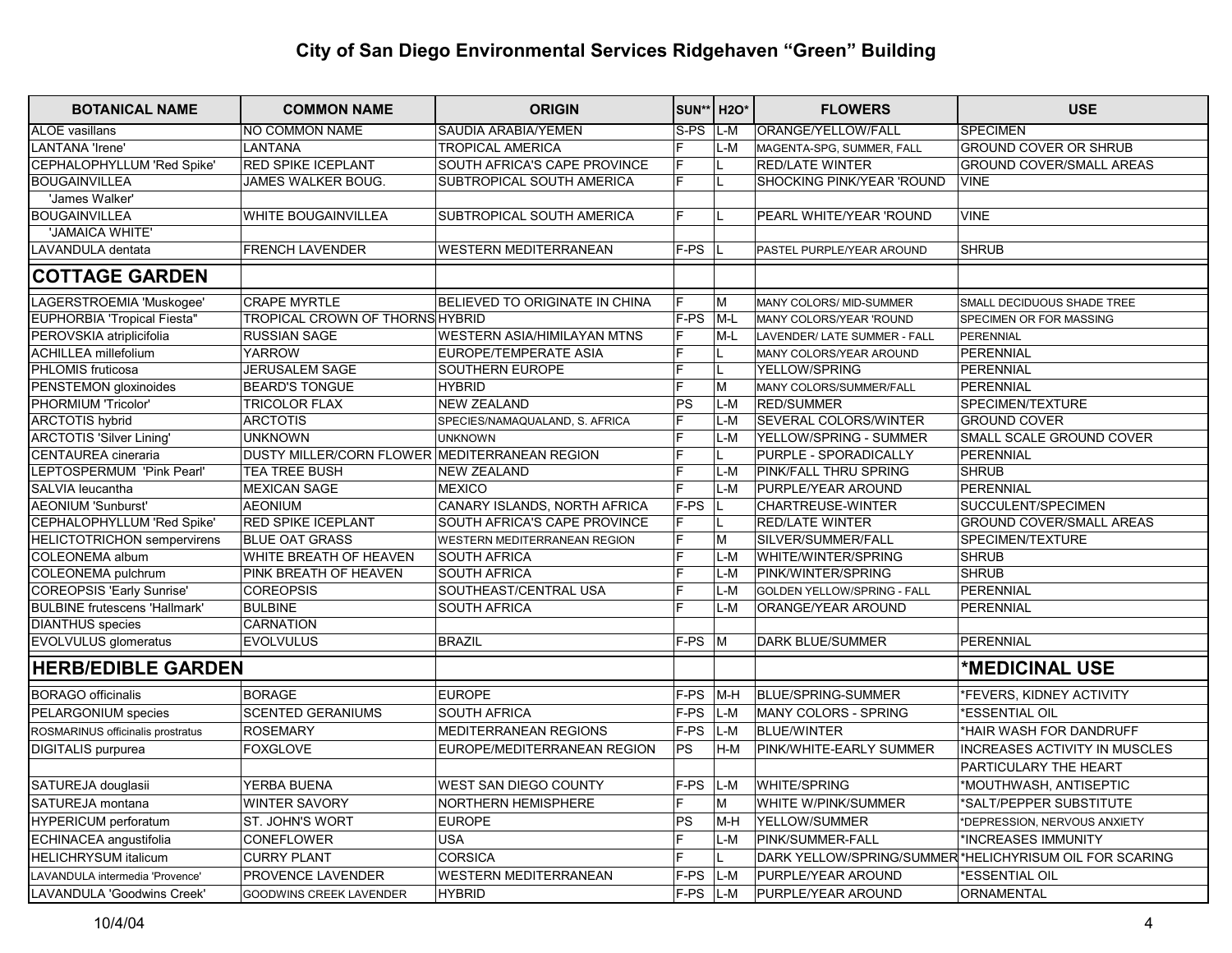| <b>BOTANICAL NAME</b>                | <b>COMMON NAME</b>                            | <b>ORIGIN</b>                  | SUN** H2O*     |       | <b>FLOWERS</b>               | <b>USE</b>                                              |
|--------------------------------------|-----------------------------------------------|--------------------------------|----------------|-------|------------------------------|---------------------------------------------------------|
| <b>ALOE</b> vasillans                | <b>NO COMMON NAME</b>                         | <b>SAUDIA ARABIA/YEMEN</b>     | $S-PS$         | $L-M$ | ORANGE/YELLOW/FALL           | <b>SPECIMEN</b>                                         |
| <b>LANTANA 'Irene'</b>               | <b>LANTANA</b>                                | <b>TROPICAL AMERICA</b>        |                | L-M   | MAGENTA-SPG, SUMMER, FALL    | GROUND COVER OR SHRUB                                   |
| CEPHALOPHYLLUM 'Red Spike'           | RED SPIKE ICEPLANT                            | SOUTH AFRICA'S CAPE PROVINCE   | F              |       | <b>RED/LATE WINTER</b>       | <b>GROUND COVER/SMALL AREAS</b>                         |
| <b>BOUGAINVILLEA</b>                 | JAMES WALKER BOUG.                            | SUBTROPICAL SOUTH AMERICA      | E              |       | SHOCKING PINK/YEAR 'ROUND    | <b>VINE</b>                                             |
| 'James Walker'                       |                                               |                                |                |       |                              |                                                         |
| <b>BOUGAINVILLEA</b>                 | WHITE BOUGAINVILLEA                           | SUBTROPICAL SOUTH AMERICA      | F              | L     | PEARL WHITE/YEAR 'ROUND      | <b>VINE</b>                                             |
| 'JAMAICA WHITE'                      |                                               |                                |                |       |                              |                                                         |
| LAVANDULA dentata                    | <b>FRENCH LAVENDER</b>                        | <b>WESTERN MEDITERRANEAN</b>   | F-PS           |       | PASTEL PURPLE/YEAR AROUND    | <b>SHRUB</b>                                            |
| <b>COTTAGE GARDEN</b>                |                                               |                                |                |       |                              |                                                         |
| LAGERSTROEMIA 'Muskogee'             | <b>CRAPE MYRTLE</b>                           | BELIEVED TO ORIGINATE IN CHINA | F              | M     | MANY COLORS/ MID-SUMMER      | SMALL DECIDUOUS SHADE TREE                              |
| <b>EUPHORBIA 'Tropical Fiesta"</b>   | <b>TROPICAL CROWN OF THORNS HYBRID</b>        |                                | $F-PS$         | $M-L$ | MANY COLORS/YEAR 'ROUND      | SPECIMEN OR FOR MASSING                                 |
| PEROVSKIA atriplicifolia             | <b>RUSSIAN SAGE</b>                           | WESTERN ASIA/HIMILAYAN MTNS    | F              | M-L   | LAVENDER/ LATE SUMMER - FALL | PERENNIAL                                               |
| <b>ACHILLEA</b> millefolium          | <b>YARROW</b>                                 | <b>EUROPE/TEMPERATE ASIA</b>   | E              |       | MANY COLORS/YEAR AROUND      | PERENNIAL                                               |
| PHLOMIS fruticosa                    | JERUSALEM SAGE                                | SOUTHERN EUROPE                | F              | L.    | YELLOW/SPRING                | PERENNIAL                                               |
| PENSTEMON gloxinoides                | <b>BEARD'S TONGUE</b>                         | <b>HYBRID</b>                  | E              | M     | MANY COLORS/SUMMER/FALL      | PERENNIAL                                               |
| PHORMIUM 'Tricolor'                  | <b>TRICOLOR FLAX</b>                          | <b>NEW ZEALAND</b>             | PS             | L-M   | <b>RED/SUMMER</b>            | SPECIMEN/TEXTURE                                        |
| <b>ARCTOTIS hybrid</b>               | <b>ARCTOTIS</b>                               | SPECIES/NAMAQUALAND, S. AFRICA | E              | L-M   | <b>SEVERAL COLORS/WINTER</b> | <b>GROUND COVER</b>                                     |
| <b>ARCTOTIS 'Silver Lining'</b>      | <b>UNKNOWN</b>                                | <b>UNKNOWN</b>                 | $\overline{F}$ | $L-M$ | YELLOW/SPRING - SUMMER       | SMALL SCALE GROUND COVER                                |
| CENTAUREA cineraria                  | DUSTY MILLER/CORN FLOWER MEDITERRANEAN REGION |                                | F              |       | PURPLE - SPORADICALLY        | <b>PERENNIAL</b>                                        |
| LEPTOSPERMUM 'Pink Pearl'            | <b>TEA TREE BUSH</b>                          | <b>NEW ZEALAND</b>             | E              | L-M   | PINK/FALL THRU SPRING        | <b>SHRUB</b>                                            |
| SALVIA leucantha                     | <b>MEXICAN SAGE</b>                           | <b>MEXICO</b>                  | E              | L-M   | PURPLE/YEAR AROUND           | <b>PERENNIAL</b>                                        |
| <b>AEONIUM 'Sunburst'</b>            | <b>AEONIUM</b>                                | CANARY ISLANDS, NORTH AFRICA   | F-PS           |       | <b>CHARTREUSE-WINTER</b>     | SUCCULENT/SPECIMEN                                      |
| CEPHALOPHYLLUM 'Red Spike'           | <b>RED SPIKE ICEPLANT</b>                     | SOUTH AFRICA'S CAPE PROVINCE   | F              |       | <b>RED/LATE WINTER</b>       | <b>GROUND COVER/SMALL AREAS</b>                         |
| <b>HELICTOTRICHON</b> sempervirens   | <b>BLUE OAT GRASS</b>                         | WESTERN MEDITERRANEAN REGION   | F              | M     | SILVER/SUMMER/FALL           | SPECIMEN/TEXTURE                                        |
| COLEONEMA album                      | WHITE BREATH OF HEAVEN                        | <b>SOUTH AFRICA</b>            | F              | L-M   | WHITE/WINTER/SPRING          | <b>SHRUB</b>                                            |
| COLEONEMA pulchrum                   | PINK BREATH OF HEAVEN                         | <b>SOUTH AFRICA</b>            | E              | L-M   | PINK/WINTER/SPRING           | <b>SHRUB</b>                                            |
| <b>COREOPSIS 'Early Sunrise'</b>     | <b>COREOPSIS</b>                              | SOUTHEAST/CENTRAL USA          | E              | L-M   | GOLDEN YELLOW/SPRING - FALL  | PERENNIAL                                               |
| <b>BULBINE frutescens 'Hallmark'</b> | <b>BULBINE</b>                                | <b>SOUTH AFRICA</b>            | E              | $L-M$ | ORANGE/YEAR AROUND           | PERENNIAL                                               |
| <b>DIANTHUS</b> species              | <b>CARNATION</b>                              |                                |                |       |                              |                                                         |
| <b>EVOLVULUS</b> glomeratus          | <b>EVOLVULUS</b>                              | <b>BRAZIL</b>                  | F-PS           | ÌМ.   | <b>DARK BLUE/SUMMER</b>      | <b>PERENNIAL</b>                                        |
| <b>HERB/EDIBLE GARDEN</b>            |                                               |                                |                |       |                              | *MEDICINAL USE                                          |
| <b>BORAGO officinalis</b>            | <b>BORAGE</b>                                 | <b>EUROPE</b>                  | F-PS           | $M-H$ | BLUE/SPRING-SUMMER           | *FEVERS, KIDNEY ACTIVITY                                |
| PELARGONIUM species                  | <b>SCENTED GERANIUMS</b>                      | <b>SOUTH AFRICA</b>            | F-PS           | L-M   | <b>MANY COLORS - SPRING</b>  | *ESSENTIAL OIL                                          |
| ROSMARINUS officinalis prostratus    | <b>ROSEMARY</b>                               | <b>MEDITERRANEAN REGIONS</b>   | F-PS           | L-M   | <b>BLUE/WINTER</b>           | *HAIR WASH FOR DANDRUFF                                 |
| DIGITALIS purpurea                   | <b>FOXGLOVE</b>                               | EUROPE/MEDITERRANEAN REGION    | PS             | H-M   | PINK/WHITE-EARLY SUMMER      | <b>INCREASES ACTIVITY IN MUSCLES</b>                    |
|                                      |                                               |                                |                |       |                              | PARTICULARY THE HEART                                   |
| SATUREJA douglasii                   | YERBA BUENA                                   | WEST SAN DIEGO COUNTY          | F-PS           | $L-M$ | <b>WHITE/SPRING</b>          | *MOUTHWASH, ANTISEPTIC                                  |
| SATUREJA montana                     | <b>WINTER SAVORY</b>                          | <b>NORTHERN HEMISPHERE</b>     | F.             | M     | WHITE W/PINK/SUMMER          | *SALT/PEPPER SUBSTITUTE                                 |
| <b>HYPERICUM</b> perforatum          | ST. JOHN'S WORT                               | <b>EUROPE</b>                  | PS             | M-H   | YELLOW/SUMMER                | *DEPRESSION, NERVOUS ANXIETY                            |
| ECHINACEA angustifolia               | CONEFLOWER                                    | <b>USA</b>                     | E              | $L-M$ | PINK/SUMMER-FALL             | *INCREASES IMMUNITY                                     |
| <b>HELICHRYSUM italicum</b>          | <b>CURRY PLANT</b>                            | <b>CORSICA</b>                 | F              |       |                              | DARK YELLOW/SPRING/SUMMER *HELICHYRISUM OIL FOR SCARING |
| LAVANDULA intermedia 'Provence'      | PROVENCE LAVENDER                             | WESTERN MEDITERRANEAN          | F-PS           | $L-M$ | PURPLE/YEAR AROUND           | *ESSENTIAL OIL                                          |
| LAVANDULA 'Goodwins Creek'           | GOODWINS CREEK LAVENDER                       | <b>HYBRID</b>                  | F-PS           | L-M   | PURPLE/YEAR AROUND           | ORNAMENTAL                                              |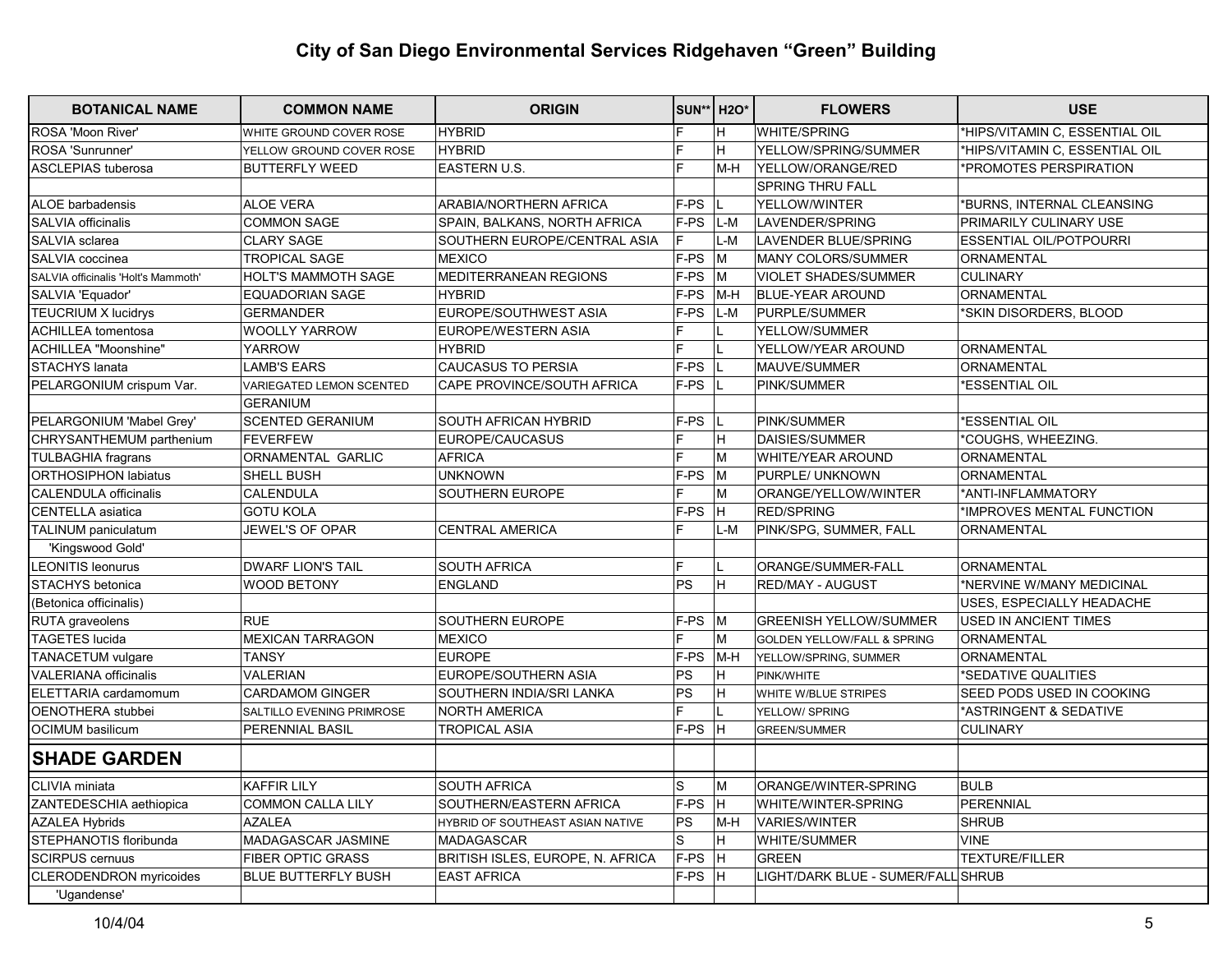| <b>BOTANICAL NAME</b>               | <b>COMMON NAME</b>         | <b>ORIGIN</b>                    |      | <b>SUN** H2O*</b> | <b>FLOWERS</b>                         | <b>USE</b>                     |
|-------------------------------------|----------------------------|----------------------------------|------|-------------------|----------------------------------------|--------------------------------|
| ROSA 'Moon River'                   | WHITE GROUND COVER ROSE    | <b>HYBRID</b>                    | F    | H                 | <b>WHITE/SPRING</b>                    | *HIPS/VITAMIN C, ESSENTIAL OIL |
| ROSA 'Sunrunner'                    | YELLOW GROUND COVER ROSE   | <b>HYBRID</b>                    | F    | H.                | YELLOW/SPRING/SUMMER                   | *HIPS/VITAMIN C, ESSENTIAL OIL |
| <b>ASCLEPIAS</b> tuberosa           | <b>BUTTERFLY WEED</b>      | <b>EASTERN U.S.</b>              | F    | lm-H              | YELLOW/ORANGE/RED                      | *PROMOTES PERSPIRATION         |
|                                     |                            |                                  |      |                   | <b>SPRING THRU FALL</b>                |                                |
| ALOE barbadensis                    | <b>ALOE VERA</b>           | ARABIA/NORTHERN AFRICA           | F-PS |                   | YELLOW/WINTER                          | *BURNS, INTERNAL CLEANSING     |
| SALVIA officinalis                  | <b>COMMON SAGE</b>         | SPAIN, BALKANS, NORTH AFRICA     | F-PS | L-M               | LAVENDER/SPRING                        | PRIMARILY CULINARY USE         |
| SALVIA sclarea                      | <b>CLARY SAGE</b>          | SOUTHERN EUROPE/CENTRAL ASIA     | F    | $L-M$             | LAVENDER BLUE/SPRING                   | <b>ESSENTIAL OIL/POTPOURRI</b> |
| SALVIA coccinea                     | <b>TROPICAL SAGE</b>       | MEXICO                           | F-PS | M                 | <b>MANY COLORS/SUMMER</b>              | <b>ORNAMENTAL</b>              |
| SALVIA officinalis 'Holt's Mammoth' | HOLT'S MAMMOTH SAGE        | MEDITERRANEAN REGIONS            | F-PS | lм                | <b>VIOLET SHADES/SUMMER</b>            | <b>CULINARY</b>                |
| SALVIA 'Equador'                    | <b>EQUADORIAN SAGE</b>     | <b>HYBRID</b>                    | F-PS | M-H               | <b>BLUE-YEAR AROUND</b>                | ORNAMENTAL                     |
| <b>TEUCRIUM X lucidrys</b>          | <b>GERMANDER</b>           | EUROPE/SOUTHWEST ASIA            | F-PS | $L-M$             | PURPLE/SUMMER                          | *SKIN DISORDERS, BLOOD         |
| <b>ACHILLEA</b> tomentosa           | <b>WOOLLY YARROW</b>       | EUROPE/WESTERN ASIA              |      |                   | YELLOW/SUMMER                          |                                |
| ACHILLEA "Moonshine"                | <b>YARROW</b>              | <b>HYBRID</b>                    | E    |                   | YELLOW/YEAR AROUND                     | ORNAMENTAL                     |
| STACHYS lanata                      | <b>LAMB'S EARS</b>         | <b>CAUCASUS TO PERSIA</b>        | F-PS |                   | MAUVE/SUMMER                           | ORNAMENTAL                     |
| PELARGONIUM crispum Var.            | VARIEGATED LEMON SCENTED   | CAPE PROVINCE/SOUTH AFRICA       | F-PS |                   | PINK/SUMMER                            | *ESSENTIAL OIL                 |
|                                     | <b>GERANIUM</b>            |                                  |      |                   |                                        |                                |
| PELARGONIUM 'Mabel Grey'            | <b>SCENTED GERANIUM</b>    | <b>SOUTH AFRICAN HYBRID</b>      | F-PS |                   | PINK/SUMMER                            | *ESSENTIAL OIL                 |
| CHRYSANTHEMUM parthenium            | FEVERFEW                   | EUROPE/CAUCASUS                  | Е    | H                 | DAISIES/SUMMER                         | *COUGHS, WHEEZING.             |
| <b>TULBAGHIA fragrans</b>           | ORNAMENTAL GARLIC          | AFRICA                           | E    | M                 | <b>WHITE/YEAR AROUND</b>               | ORNAMENTAL                     |
| <b>ORTHOSIPHON labiatus</b>         | SHELL BUSH                 | <b>UNKNOWN</b>                   | F-PS | M                 | PURPLE/ UNKNOWN                        | ORNAMENTAL                     |
| <b>CALENDULA officinalis</b>        | <b>CALENDULA</b>           | SOUTHERN EUROPE                  |      | M                 | ORANGE/YELLOW/WINTER                   | *ANTI-INFLAMMATORY             |
| CENTELLA asiatica                   | <b>GOTU KOLA</b>           |                                  | F-PS | H.                | <b>RED/SPRING</b>                      | *IMPROVES MENTAL FUNCTION      |
| <b>TALINUM</b> paniculatum          | JEWEL'S OF OPAR            | <b>CENTRAL AMERICA</b>           | E    | L-M               | PINK/SPG, SUMMER, FALL                 | ORNAMENTAL                     |
| 'Kingswood Gold'                    |                            |                                  |      |                   |                                        |                                |
| <b>LEONITIS leonurus</b>            | <b>DWARF LION'S TAIL</b>   | <b>SOUTH AFRICA</b>              | F.   |                   | ORANGE/SUMMER-FALL                     | <b>ORNAMENTAL</b>              |
| STACHYS betonica                    | WOOD BETONY                | <b>ENGLAND</b>                   | PS   | H.                | RED/MAY - AUGUST                       | *NERVINE W/MANY MEDICINAL      |
| (Betonica officinalis)              |                            |                                  |      |                   |                                        | USES, ESPECIALLY HEADACHE      |
| RUTA graveolens                     | <b>RUE</b>                 | <b>SOUTHERN EUROPE</b>           | F-PS | lм                | <b>GREENISH YELLOW/SUMMER</b>          | <b>USED IN ANCIENT TIMES</b>   |
| <b>TAGETES lucida</b>               | <b>MEXICAN TARRAGON</b>    | MEXICO                           | Е    | M                 | <b>GOLDEN YELLOW/FALL &amp; SPRING</b> | ORNAMENTAL                     |
| TANACETUM vulgare                   | <b>TANSY</b>               | <b>EUROPE</b>                    | F-PS | M-H               | YELLOW/SPRING, SUMMER                  | ORNAMENTAL                     |
| <b>VALERIANA officinalis</b>        | <b>VALERIAN</b>            | EUROPE/SOUTHERN ASIA             | PS   | lH.               | PINK/WHITE                             | *SEDATIVE QUALITIES            |
| ELETTARIA cardamomum                | <b>CARDAMOM GINGER</b>     | SOUTHERN INDIA/SRI LANKA         | PS   | H                 | WHITE W/BLUE STRIPES                   | SEED PODS USED IN COOKING      |
| OENOTHERA stubbei                   | SALTILLO EVENING PRIMROSE  | <b>NORTH AMERICA</b>             |      |                   | YELLOW/ SPRING                         | *ASTRINGENT & SEDATIVE         |
| <b>OCIMUM</b> basilicum             | <b>PERENNIAL BASIL</b>     | <b>TROPICAL ASIA</b>             | F-PS | lH.               | <b>GREEN/SUMMER</b>                    | <b>CULINARY</b>                |
| <b>SHADE GARDEN</b>                 |                            |                                  |      |                   |                                        |                                |
| CLIVIA miniata                      | <b>KAFFIR LILY</b>         | <b>SOUTH AFRICA</b>              | S    | M                 | ORANGE/WINTER-SPRING                   | <b>BULB</b>                    |
| ZANTEDESCHIA aethiopica             | <b>COMMON CALLA LILY</b>   | SOUTHERN/EASTERN AFRICA          | F-PS | H.                | WHITE/WINTER-SPRING                    | PERENNIAL                      |
| <b>AZALEA Hybrids</b>               | <b>AZALEA</b>              | HYBRID OF SOUTHEAST ASIAN NATIVE | PS   | M-H               | <b>VARIES/WINTER</b>                   | <b>SHRUB</b>                   |
| STEPHANOTIS floribunda              | MADAGASCAR JASMINE         | <b>MADAGASCAR</b>                | S    | H                 | WHITE/SUMMER                           | <b>VINE</b>                    |
| <b>SCIRPUS cernuus</b>              | <b>FIBER OPTIC GRASS</b>   | BRITISH ISLES, EUROPE, N. AFRICA | F-PS | H.                | <b>GREEN</b>                           | <b>TEXTURE/FILLER</b>          |
| <b>CLERODENDRON</b> myricoides      | <b>BLUE BUTTERFLY BUSH</b> | <b>EAST AFRICA</b>               | F-PS | Iн.               | LIGHT/DARK BLUE - SUMER/FALL SHRUB     |                                |
| 'Ugandense'                         |                            |                                  |      |                   |                                        |                                |